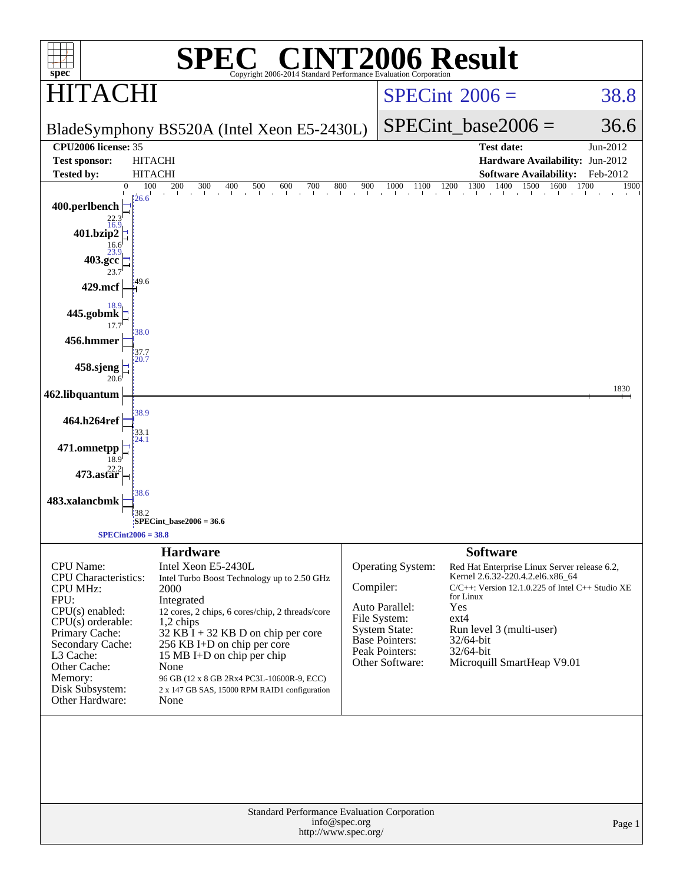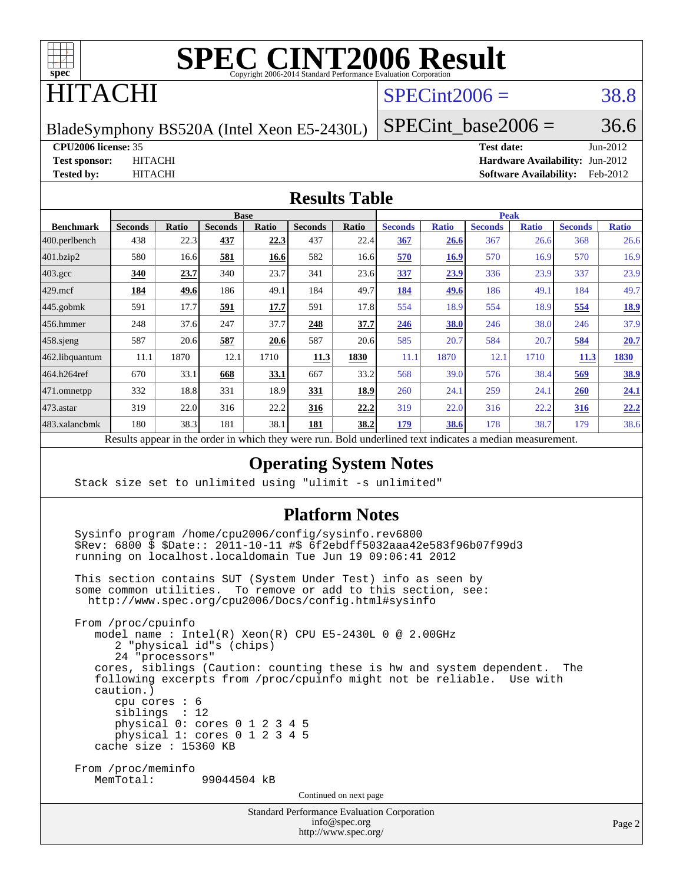

## ITACHI

#### $SPECint2006 = 38.8$  $SPECint2006 = 38.8$

BladeSymphony BS520A (Intel Xeon E5-2430L)

SPECint base2006 =  $36.6$ 

#### **[CPU2006 license:](http://www.spec.org/auto/cpu2006/Docs/result-fields.html#CPU2006license)** 35 **[Test date:](http://www.spec.org/auto/cpu2006/Docs/result-fields.html#Testdate)** Jun-2012

**[Test sponsor:](http://www.spec.org/auto/cpu2006/Docs/result-fields.html#Testsponsor)** HITACHI **[Hardware Availability:](http://www.spec.org/auto/cpu2006/Docs/result-fields.html#HardwareAvailability)** Jun-2012 **[Tested by:](http://www.spec.org/auto/cpu2006/Docs/result-fields.html#Testedby)** HITACHI **[Software Availability:](http://www.spec.org/auto/cpu2006/Docs/result-fields.html#SoftwareAvailability)** Feb-2012

#### **[Results Table](http://www.spec.org/auto/cpu2006/Docs/result-fields.html#ResultsTable)**

|                                                                                                                   | <b>Base</b>    |              |                |             |                |       | <b>Peak</b>    |              |                |              |                |              |
|-------------------------------------------------------------------------------------------------------------------|----------------|--------------|----------------|-------------|----------------|-------|----------------|--------------|----------------|--------------|----------------|--------------|
| <b>Benchmark</b>                                                                                                  | <b>Seconds</b> | <b>Ratio</b> | <b>Seconds</b> | Ratio       | <b>Seconds</b> | Ratio | <b>Seconds</b> | <b>Ratio</b> | <b>Seconds</b> | <b>Ratio</b> | <b>Seconds</b> | <b>Ratio</b> |
| 400.perlbench                                                                                                     | 438            | 22.3         | 437            | <u>22.3</u> | 437            | 22.4  | 367            | 26.6         | 367            | 26.6         | 368            | 26.6         |
| 401.bzip2                                                                                                         | 580            | 16.6         | 581            | 16.6        | 582            | 16.6  | 570            | <b>16.9</b>  | 570            | 16.9         | 570            | 16.9         |
| $403.\mathrm{gcc}$                                                                                                | 340            | 23.7         | 340            | 23.7        | 341            | 23.6  | 337            | 23.9         | 336            | 23.9         | 337            | 23.9         |
| $429$ .mcf                                                                                                        | <u>184</u>     | 49.6         | 186            | 49.1        | 184            | 49.7  | 184            | 49.6         | 186            | 49.          | 184            | 49.7         |
| $445$ .gobmk                                                                                                      | 591            | 17.7         | 591            | 17.7        | 591            | 17.8  | 554            | 18.9         | 554            | 18.9         | 554            | 18.9         |
| $456.$ hmmer                                                                                                      | 248            | 37.6         | 247            | 37.7        | 248            | 37.7  | 246            | 38.0         | 246            | 38.0         | 246            | 37.9         |
| $458$ .sjeng                                                                                                      | 587            | 20.6         | 587            | 20.6        | 587            | 20.6  | 585            | 20.7         | 584            | 20.7         | 584            | 20.7         |
| 462.libquantum                                                                                                    | 11.1           | 1870         | 12.1           | 1710        | 11.3           | 1830  | 11.1           | 1870         | 12.1           | 1710         | 11.3           | 1830         |
| 464.h264ref                                                                                                       | 670            | 33.1         | 668            | 33.1        | 667            | 33.2  | 568            | 39.0         | 576            | 38.4         | 569            | 38.9         |
| 471.omnetpp                                                                                                       | 332            | 18.8         | 331            | 18.9        | 331            | 18.9  | 260            | 24.1         | 259            | 24.1         | 260            | 24.1         |
| $473.$ astar                                                                                                      | 319            | 22.0         | 316            | 22.2        | 316            | 22,2  | 319            | 22.0         | 316            | 22.2         | 316            | 22.2         |
| 483.xalancbmk                                                                                                     | 180            | 38.3         | 181            | 38.1        | 181            | 38.2  | 179            | 38.6         | 178            | 38.7         | 179            | 38.6         |
| $\cdot$ $\cdot$ 1<br>1.1.1<br><sub>n</sub><br>$\mathbf{1}$<br>$\cdot$<br><b>D</b> 11<br>$1 \cdot$<br>$\mathbf{1}$ |                |              |                |             |                |       |                |              |                |              |                |              |

Results appear in the [order in which they were run.](http://www.spec.org/auto/cpu2006/Docs/result-fields.html#RunOrder) Bold underlined text [indicates a median measurement.](http://www.spec.org/auto/cpu2006/Docs/result-fields.html#Median)

#### **[Operating System Notes](http://www.spec.org/auto/cpu2006/Docs/result-fields.html#OperatingSystemNotes)**

Stack size set to unlimited using "ulimit -s unlimited"

#### **[Platform Notes](http://www.spec.org/auto/cpu2006/Docs/result-fields.html#PlatformNotes)**

 Sysinfo program /home/cpu2006/config/sysinfo.rev6800 \$Rev: 6800 \$ \$Date:: 2011-10-11 #\$ 6f2ebdff5032aaa42e583f96b07f99d3 running on localhost.localdomain Tue Jun 19 09:06:41 2012

 This section contains SUT (System Under Test) info as seen by some common utilities. To remove or add to this section, see: <http://www.spec.org/cpu2006/Docs/config.html#sysinfo>

 From /proc/cpuinfo model name : Intel(R) Xeon(R) CPU E5-2430L 0 @ 2.00GHz 2 "physical id"s (chips) 24 "processors" cores, siblings (Caution: counting these is hw and system dependent. The following excerpts from /proc/cpuinfo might not be reliable. Use with caution.) cpu cores : 6 siblings : 12 physical 0: cores 0 1 2 3 4 5 physical 1: cores 0 1 2 3 4 5 cache size : 15360 KB From /proc/meminfo MemTotal: 99044504 kB

Continued on next page

Standard Performance Evaluation Corporation [info@spec.org](mailto:info@spec.org) <http://www.spec.org/>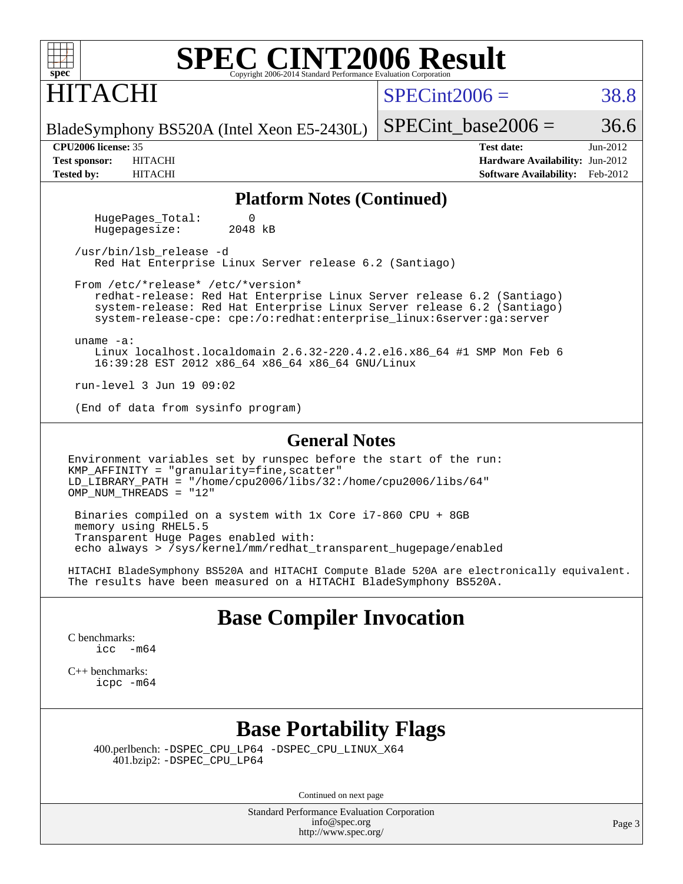| $spec^*$                   | <b>SPEC CINT2006 Result</b><br>Copyright 2006-2014 Standard Performance Evaluation Corporation |                                        |            |
|----------------------------|------------------------------------------------------------------------------------------------|----------------------------------------|------------|
| <b>HITACHI</b>             |                                                                                                | $SPECint2006 =$                        | 38.8       |
|                            | BladeSymphony BS520A (Intel Xeon E5-2430L)                                                     | SPECint base2006 =                     | 36.6       |
| <b>CPU2006 license: 35</b> |                                                                                                | <b>Test date:</b>                      | $Jun-2012$ |
| <b>Test sponsor:</b>       | <b>HITACHI</b>                                                                                 | <b>Hardware Availability: Jun-2012</b> |            |
| <b>Tested by:</b>          | <b>HITACHI</b>                                                                                 | <b>Software Availability:</b>          | Feb-2012   |
|                            |                                                                                                |                                        |            |

#### **[Platform Notes \(Continued\)](http://www.spec.org/auto/cpu2006/Docs/result-fields.html#PlatformNotes)**

HugePages\_Total: 0<br>Hugepagesize: 2048 kB Hugepagesize:

 /usr/bin/lsb\_release -d Red Hat Enterprise Linux Server release 6.2 (Santiago)

 From /etc/\*release\* /etc/\*version\* redhat-release: Red Hat Enterprise Linux Server release 6.2 (Santiago) system-release: Red Hat Enterprise Linux Server release 6.2 (Santiago) system-release-cpe: cpe:/o:redhat:enterprise\_linux:6server:ga:server

uname -a:

 Linux localhost.localdomain 2.6.32-220.4.2.el6.x86\_64 #1 SMP Mon Feb 6 16:39:28 EST 2012 x86\_64 x86\_64 x86\_64 GNU/Linux

run-level 3 Jun 19 09:02

(End of data from sysinfo program)

#### **[General Notes](http://www.spec.org/auto/cpu2006/Docs/result-fields.html#GeneralNotes)**

Environment variables set by runspec before the start of the run: KMP\_AFFINITY = "granularity=fine,scatter" LD\_LIBRARY\_PATH = "/home/cpu2006/libs/32:/home/cpu2006/libs/64" OMP NUM THREADS =  $"12"$ 

 Binaries compiled on a system with 1x Core i7-860 CPU + 8GB memory using RHEL5.5 Transparent Huge Pages enabled with: echo always > /sys/kernel/mm/redhat\_transparent\_hugepage/enabled

HITACHI BladeSymphony BS520A and HITACHI Compute Blade 520A are electronically equivalent. The results have been measured on a HITACHI BladeSymphony BS520A.

#### **[Base Compiler Invocation](http://www.spec.org/auto/cpu2006/Docs/result-fields.html#BaseCompilerInvocation)**

[C benchmarks](http://www.spec.org/auto/cpu2006/Docs/result-fields.html#Cbenchmarks): [icc -m64](http://www.spec.org/cpu2006/results/res2012q3/cpu2006-20120730-23971.flags.html#user_CCbase_intel_icc_64bit_f346026e86af2a669e726fe758c88044)

[C++ benchmarks:](http://www.spec.org/auto/cpu2006/Docs/result-fields.html#CXXbenchmarks) [icpc -m64](http://www.spec.org/cpu2006/results/res2012q3/cpu2006-20120730-23971.flags.html#user_CXXbase_intel_icpc_64bit_fc66a5337ce925472a5c54ad6a0de310)

#### **[Base Portability Flags](http://www.spec.org/auto/cpu2006/Docs/result-fields.html#BasePortabilityFlags)**

 400.perlbench: [-DSPEC\\_CPU\\_LP64](http://www.spec.org/cpu2006/results/res2012q3/cpu2006-20120730-23971.flags.html#b400.perlbench_basePORTABILITY_DSPEC_CPU_LP64) [-DSPEC\\_CPU\\_LINUX\\_X64](http://www.spec.org/cpu2006/results/res2012q3/cpu2006-20120730-23971.flags.html#b400.perlbench_baseCPORTABILITY_DSPEC_CPU_LINUX_X64) 401.bzip2: [-DSPEC\\_CPU\\_LP64](http://www.spec.org/cpu2006/results/res2012q3/cpu2006-20120730-23971.flags.html#suite_basePORTABILITY401_bzip2_DSPEC_CPU_LP64)

Continued on next page

Standard Performance Evaluation Corporation [info@spec.org](mailto:info@spec.org) <http://www.spec.org/>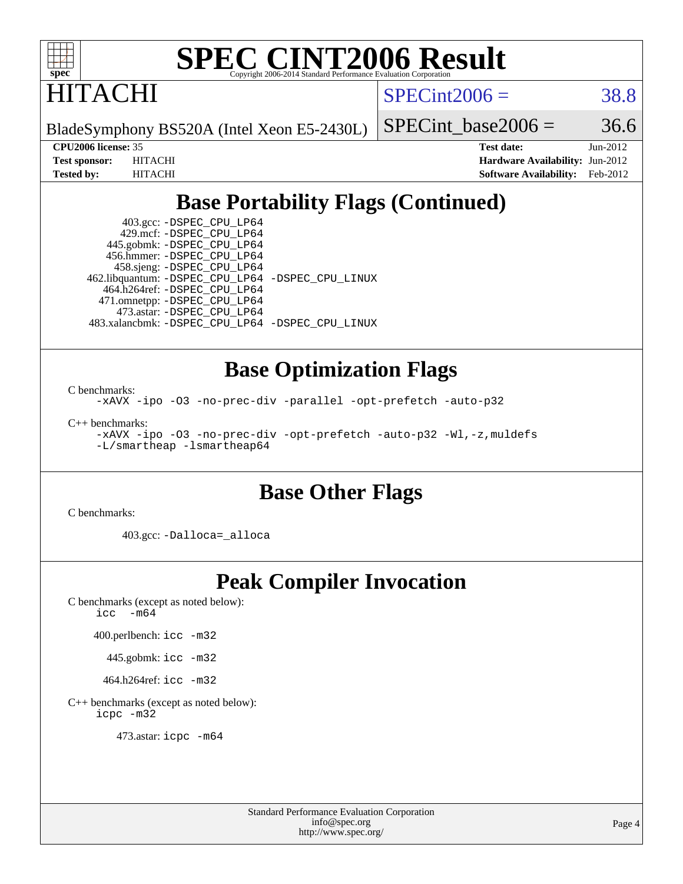

**ITACHI** 

 $SPECint2006 = 38.8$  $SPECint2006 = 38.8$ 

BladeSymphony BS520A (Intel Xeon E5-2430L)

SPECint base2006 =  $36.6$ 

**[CPU2006 license:](http://www.spec.org/auto/cpu2006/Docs/result-fields.html#CPU2006license)** 35 **[Test date:](http://www.spec.org/auto/cpu2006/Docs/result-fields.html#Testdate)** Jun-2012 **[Test sponsor:](http://www.spec.org/auto/cpu2006/Docs/result-fields.html#Testsponsor)** HITACHI **[Hardware Availability:](http://www.spec.org/auto/cpu2006/Docs/result-fields.html#HardwareAvailability)** Jun-2012 **[Tested by:](http://www.spec.org/auto/cpu2006/Docs/result-fields.html#Testedby)** HITACHI **[Software Availability:](http://www.spec.org/auto/cpu2006/Docs/result-fields.html#SoftwareAvailability)** Feb-2012

### **[Base Portability Flags \(Continued\)](http://www.spec.org/auto/cpu2006/Docs/result-fields.html#BasePortabilityFlags)**

 403.gcc: [-DSPEC\\_CPU\\_LP64](http://www.spec.org/cpu2006/results/res2012q3/cpu2006-20120730-23971.flags.html#suite_basePORTABILITY403_gcc_DSPEC_CPU_LP64) 429.mcf: [-DSPEC\\_CPU\\_LP64](http://www.spec.org/cpu2006/results/res2012q3/cpu2006-20120730-23971.flags.html#suite_basePORTABILITY429_mcf_DSPEC_CPU_LP64) 445.gobmk: [-DSPEC\\_CPU\\_LP64](http://www.spec.org/cpu2006/results/res2012q3/cpu2006-20120730-23971.flags.html#suite_basePORTABILITY445_gobmk_DSPEC_CPU_LP64) 456.hmmer: [-DSPEC\\_CPU\\_LP64](http://www.spec.org/cpu2006/results/res2012q3/cpu2006-20120730-23971.flags.html#suite_basePORTABILITY456_hmmer_DSPEC_CPU_LP64) 458.sjeng: [-DSPEC\\_CPU\\_LP64](http://www.spec.org/cpu2006/results/res2012q3/cpu2006-20120730-23971.flags.html#suite_basePORTABILITY458_sjeng_DSPEC_CPU_LP64) 462.libquantum: [-DSPEC\\_CPU\\_LP64](http://www.spec.org/cpu2006/results/res2012q3/cpu2006-20120730-23971.flags.html#suite_basePORTABILITY462_libquantum_DSPEC_CPU_LP64) [-DSPEC\\_CPU\\_LINUX](http://www.spec.org/cpu2006/results/res2012q3/cpu2006-20120730-23971.flags.html#b462.libquantum_baseCPORTABILITY_DSPEC_CPU_LINUX) 464.h264ref: [-DSPEC\\_CPU\\_LP64](http://www.spec.org/cpu2006/results/res2012q3/cpu2006-20120730-23971.flags.html#suite_basePORTABILITY464_h264ref_DSPEC_CPU_LP64) 471.omnetpp: [-DSPEC\\_CPU\\_LP64](http://www.spec.org/cpu2006/results/res2012q3/cpu2006-20120730-23971.flags.html#suite_basePORTABILITY471_omnetpp_DSPEC_CPU_LP64) 473.astar: [-DSPEC\\_CPU\\_LP64](http://www.spec.org/cpu2006/results/res2012q3/cpu2006-20120730-23971.flags.html#suite_basePORTABILITY473_astar_DSPEC_CPU_LP64) 483.xalancbmk: [-DSPEC\\_CPU\\_LP64](http://www.spec.org/cpu2006/results/res2012q3/cpu2006-20120730-23971.flags.html#suite_basePORTABILITY483_xalancbmk_DSPEC_CPU_LP64) [-DSPEC\\_CPU\\_LINUX](http://www.spec.org/cpu2006/results/res2012q3/cpu2006-20120730-23971.flags.html#b483.xalancbmk_baseCXXPORTABILITY_DSPEC_CPU_LINUX)

#### **[Base Optimization Flags](http://www.spec.org/auto/cpu2006/Docs/result-fields.html#BaseOptimizationFlags)**

[C benchmarks](http://www.spec.org/auto/cpu2006/Docs/result-fields.html#Cbenchmarks): [-xAVX](http://www.spec.org/cpu2006/results/res2012q3/cpu2006-20120730-23971.flags.html#user_CCbase_f-xAVX) [-ipo](http://www.spec.org/cpu2006/results/res2012q3/cpu2006-20120730-23971.flags.html#user_CCbase_f-ipo) [-O3](http://www.spec.org/cpu2006/results/res2012q3/cpu2006-20120730-23971.flags.html#user_CCbase_f-O3) [-no-prec-div](http://www.spec.org/cpu2006/results/res2012q3/cpu2006-20120730-23971.flags.html#user_CCbase_f-no-prec-div) [-parallel](http://www.spec.org/cpu2006/results/res2012q3/cpu2006-20120730-23971.flags.html#user_CCbase_f-parallel) [-opt-prefetch](http://www.spec.org/cpu2006/results/res2012q3/cpu2006-20120730-23971.flags.html#user_CCbase_f-opt-prefetch) [-auto-p32](http://www.spec.org/cpu2006/results/res2012q3/cpu2006-20120730-23971.flags.html#user_CCbase_f-auto-p32)

[C++ benchmarks:](http://www.spec.org/auto/cpu2006/Docs/result-fields.html#CXXbenchmarks) [-xAVX](http://www.spec.org/cpu2006/results/res2012q3/cpu2006-20120730-23971.flags.html#user_CXXbase_f-xAVX) [-ipo](http://www.spec.org/cpu2006/results/res2012q3/cpu2006-20120730-23971.flags.html#user_CXXbase_f-ipo) [-O3](http://www.spec.org/cpu2006/results/res2012q3/cpu2006-20120730-23971.flags.html#user_CXXbase_f-O3) [-no-prec-div](http://www.spec.org/cpu2006/results/res2012q3/cpu2006-20120730-23971.flags.html#user_CXXbase_f-no-prec-div) [-opt-prefetch](http://www.spec.org/cpu2006/results/res2012q3/cpu2006-20120730-23971.flags.html#user_CXXbase_f-opt-prefetch) [-auto-p32](http://www.spec.org/cpu2006/results/res2012q3/cpu2006-20120730-23971.flags.html#user_CXXbase_f-auto-p32) [-Wl,-z,muldefs](http://www.spec.org/cpu2006/results/res2012q3/cpu2006-20120730-23971.flags.html#user_CXXbase_link_force_multiple1_74079c344b956b9658436fd1b6dd3a8a) [-L/smartheap -lsmartheap64](http://www.spec.org/cpu2006/results/res2012q3/cpu2006-20120730-23971.flags.html#user_CXXbase_SmartHeap64_5e654037dadeae1fe403ab4b4466e60b)

### **[Base Other Flags](http://www.spec.org/auto/cpu2006/Docs/result-fields.html#BaseOtherFlags)**

[C benchmarks](http://www.spec.org/auto/cpu2006/Docs/result-fields.html#Cbenchmarks):

403.gcc: [-Dalloca=\\_alloca](http://www.spec.org/cpu2006/results/res2012q3/cpu2006-20120730-23971.flags.html#b403.gcc_baseEXTRA_CFLAGS_Dalloca_be3056838c12de2578596ca5467af7f3)

## **[Peak Compiler Invocation](http://www.spec.org/auto/cpu2006/Docs/result-fields.html#PeakCompilerInvocation)**

[C benchmarks \(except as noted below\)](http://www.spec.org/auto/cpu2006/Docs/result-fields.html#Cbenchmarksexceptasnotedbelow): [icc -m64](http://www.spec.org/cpu2006/results/res2012q3/cpu2006-20120730-23971.flags.html#user_CCpeak_intel_icc_64bit_f346026e86af2a669e726fe758c88044)

400.perlbench: [icc -m32](http://www.spec.org/cpu2006/results/res2012q3/cpu2006-20120730-23971.flags.html#user_peakCCLD400_perlbench_intel_icc_a6a621f8d50482236b970c6ac5f55f93)

445.gobmk: [icc -m32](http://www.spec.org/cpu2006/results/res2012q3/cpu2006-20120730-23971.flags.html#user_peakCCLD445_gobmk_intel_icc_a6a621f8d50482236b970c6ac5f55f93)

464.h264ref: [icc -m32](http://www.spec.org/cpu2006/results/res2012q3/cpu2006-20120730-23971.flags.html#user_peakCCLD464_h264ref_intel_icc_a6a621f8d50482236b970c6ac5f55f93)

[C++ benchmarks \(except as noted below\):](http://www.spec.org/auto/cpu2006/Docs/result-fields.html#CXXbenchmarksexceptasnotedbelow) [icpc -m32](http://www.spec.org/cpu2006/results/res2012q3/cpu2006-20120730-23971.flags.html#user_CXXpeak_intel_icpc_4e5a5ef1a53fd332b3c49e69c3330699)

473.astar: [icpc -m64](http://www.spec.org/cpu2006/results/res2012q3/cpu2006-20120730-23971.flags.html#user_peakCXXLD473_astar_intel_icpc_64bit_fc66a5337ce925472a5c54ad6a0de310)

Standard Performance Evaluation Corporation [info@spec.org](mailto:info@spec.org) <http://www.spec.org/>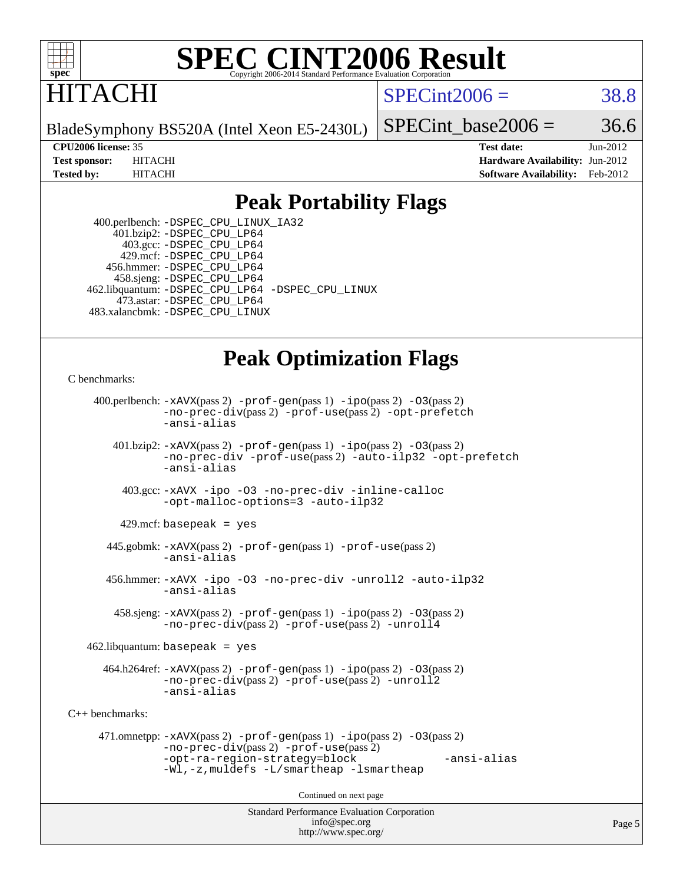

## ITACHI

 $SPECint2006 = 38.8$  $SPECint2006 = 38.8$ 

BladeSymphony BS520A (Intel Xeon E5-2430L)

SPECint base2006 =  $36.6$ 

**[CPU2006 license:](http://www.spec.org/auto/cpu2006/Docs/result-fields.html#CPU2006license)** 35 **[Test date:](http://www.spec.org/auto/cpu2006/Docs/result-fields.html#Testdate)** Jun-2012 **[Test sponsor:](http://www.spec.org/auto/cpu2006/Docs/result-fields.html#Testsponsor)** HITACHI **[Hardware Availability:](http://www.spec.org/auto/cpu2006/Docs/result-fields.html#HardwareAvailability)** Jun-2012 **[Tested by:](http://www.spec.org/auto/cpu2006/Docs/result-fields.html#Testedby)** HITACHI **[Software Availability:](http://www.spec.org/auto/cpu2006/Docs/result-fields.html#SoftwareAvailability)** Feb-2012

#### **[Peak Portability Flags](http://www.spec.org/auto/cpu2006/Docs/result-fields.html#PeakPortabilityFlags)**

 400.perlbench: [-DSPEC\\_CPU\\_LINUX\\_IA32](http://www.spec.org/cpu2006/results/res2012q3/cpu2006-20120730-23971.flags.html#b400.perlbench_peakCPORTABILITY_DSPEC_CPU_LINUX_IA32) 401.bzip2: [-DSPEC\\_CPU\\_LP64](http://www.spec.org/cpu2006/results/res2012q3/cpu2006-20120730-23971.flags.html#suite_peakPORTABILITY401_bzip2_DSPEC_CPU_LP64) 403.gcc: [-DSPEC\\_CPU\\_LP64](http://www.spec.org/cpu2006/results/res2012q3/cpu2006-20120730-23971.flags.html#suite_peakPORTABILITY403_gcc_DSPEC_CPU_LP64) 429.mcf: [-DSPEC\\_CPU\\_LP64](http://www.spec.org/cpu2006/results/res2012q3/cpu2006-20120730-23971.flags.html#suite_peakPORTABILITY429_mcf_DSPEC_CPU_LP64) 456.hmmer: [-DSPEC\\_CPU\\_LP64](http://www.spec.org/cpu2006/results/res2012q3/cpu2006-20120730-23971.flags.html#suite_peakPORTABILITY456_hmmer_DSPEC_CPU_LP64) 458.sjeng: [-DSPEC\\_CPU\\_LP64](http://www.spec.org/cpu2006/results/res2012q3/cpu2006-20120730-23971.flags.html#suite_peakPORTABILITY458_sjeng_DSPEC_CPU_LP64) 462.libquantum: [-DSPEC\\_CPU\\_LP64](http://www.spec.org/cpu2006/results/res2012q3/cpu2006-20120730-23971.flags.html#suite_peakPORTABILITY462_libquantum_DSPEC_CPU_LP64) [-DSPEC\\_CPU\\_LINUX](http://www.spec.org/cpu2006/results/res2012q3/cpu2006-20120730-23971.flags.html#b462.libquantum_peakCPORTABILITY_DSPEC_CPU_LINUX) 473.astar: [-DSPEC\\_CPU\\_LP64](http://www.spec.org/cpu2006/results/res2012q3/cpu2006-20120730-23971.flags.html#suite_peakPORTABILITY473_astar_DSPEC_CPU_LP64) 483.xalancbmk: [-DSPEC\\_CPU\\_LINUX](http://www.spec.org/cpu2006/results/res2012q3/cpu2006-20120730-23971.flags.html#b483.xalancbmk_peakCXXPORTABILITY_DSPEC_CPU_LINUX)

## **[Peak Optimization Flags](http://www.spec.org/auto/cpu2006/Docs/result-fields.html#PeakOptimizationFlags)**

[C benchmarks](http://www.spec.org/auto/cpu2006/Docs/result-fields.html#Cbenchmarks):

```
Standard Performance Evaluation Corporation
                                          info@spec.org
     400.perlbench: -xAVX(pass 2) -prof-gen(pass 1) -ipo(pass 2) -O3(pass 2)
                -no-prec-div(pass 2) -prof-use(pass 2) -opt-prefetch
                -ansi-alias
        401.bzip2: -xAVX(pass 2) -prof-gen(pass 1) -ipo(pass 2) -O3(pass 2)
                -no-prec-div -prof-use(pass 2) -auto-ilp32 -opt-prefetch
                -ansi-alias
          403.gcc: -xAVX -ipo -O3 -no-prec-div -inline-calloc
                -opt-malloc-options=3 -auto-ilp32
         429.mcf: basepeak = yes
       445.gobmk: -xAVX(pass 2) -prof-gen(pass 1) -prof-use(pass 2)
                -ansi-alias
       456.hmmer: -xAVX -ipo -O3 -no-prec-div -unroll2 -auto-ilp32
                -ansi-alias
         458.sjeng: -xAVX(pass 2) -prof-gen(pass 1) -ipo(pass 2) -O3(pass 2)
                -no-prec-div(pass 2) -prof-use(pass 2) -unroll4
    462.libquantum: basepeak = yes
       464.h264ref: -xAVX(pass 2) -prof-gen(pass 1) -ipo(pass 2) -O3(pass 2)
                -no-prec-div(pass 2) -prof-use(pass 2) -unroll2
                -ansi-alias
C++ benchmarks: 
      471.omnetpp: -xAVX(pass 2) -prof-gen(pass 1) -ipo(pass 2) -O3(pass 2)
                -no-prec-div(pass 2) -prof-use(pass 2)
                -opt-ra-region-strategy=block -ansi-alias
                -Wl,-z,muldefs -L/smartheap -lsmartheap
                                        Continued on next page
```
<http://www.spec.org/>